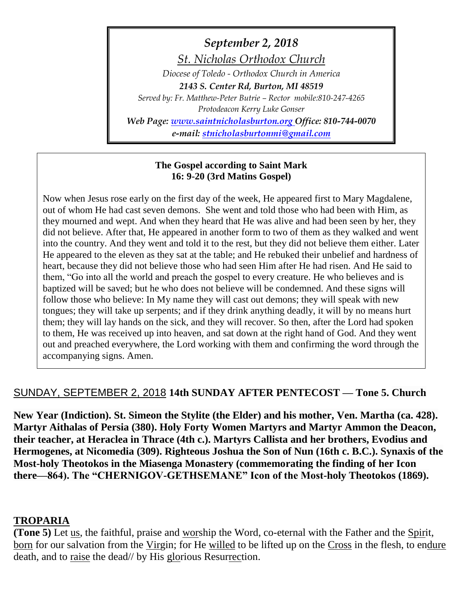*September 2, 2018*

*St. Nicholas Orthodox Church*

*Diocese of Toledo - Orthodox Church in America 2143 S. Center Rd, Burton, MI 48519*

*Served by: Fr. Matthew-Peter Butrie – Rector mobile:810-247-4265 Protodeacon Kerry Luke Gonser*

*Web Page: [www.saintnicholasburton.org](http://www.saintnicholasburton.org/) Office: 810-744-0070 e-mail: [stnicholasburtonmi@gmail.com](mailto:stnicholasburtonmi@gmail.com)*

#### **The Gospel according to Saint Mark 16: 9-20 (3rd Matins Gospel)**

Now when Jesus rose early on the first day of the week, He appeared first to Mary Magdalene, out of whom He had cast seven demons. She went and told those who had been with Him, as they mourned and wept. And when they heard that He was alive and had been seen by her, they did not believe. After that, He appeared in another form to two of them as they walked and went into the country. And they went and told it to the rest, but they did not believe them either. Later He appeared to the eleven as they sat at the table; and He rebuked their unbelief and hardness of heart, because they did not believe those who had seen Him after He had risen. And He said to them, "Go into all the world and preach the gospel to every creature. He who believes and is baptized will be saved; but he who does not believe will be condemned. And these signs will follow those who believe: In My name they will cast out demons; they will speak with new tongues; they will take up serpents; and if they drink anything deadly, it will by no means hurt them; they will lay hands on the sick, and they will recover. So then, after the Lord had spoken to them, He was received up into heaven, and sat down at the right hand of God. And they went out and preached everywhere, the Lord working with them and confirming the word through the accompanying signs. Amen.

## SUNDAY, SEPTEMBER 2, 2018 **14th SUNDAY AFTER PENTECOST — Tone 5. Church**

**New Year (Indiction). St. Simeon the Stylite (the Elder) and his mother, Ven. Martha (ca. 428). Martyr Aithalas of Persia (380). Holy Forty Women Martyrs and Martyr Ammon the Deacon, their teacher, at Heraclea in Thrace (4th c.). Martyrs Callista and her brothers, Evodius and Hermogenes, at Nicomedia (309). Righteous Joshua the Son of Nun (16th c. B.C.). Synaxis of the Most-holy Theotokos in the Miasenga Monastery (commemorating the finding of her Icon there—864). The "CHERNIGOV-GETHSEMANE" Icon of the Most-holy Theotokos (1869).**

### **TROPARIA**

**(Tone 5)** Let us, the faithful, praise and worship the Word, co-eternal with the Father and the Spirit, born for our salvation from the Virgin; for He willed to be lifted up on the Cross in the flesh, to endure death, and to raise the dead// by His glorious Resurrection.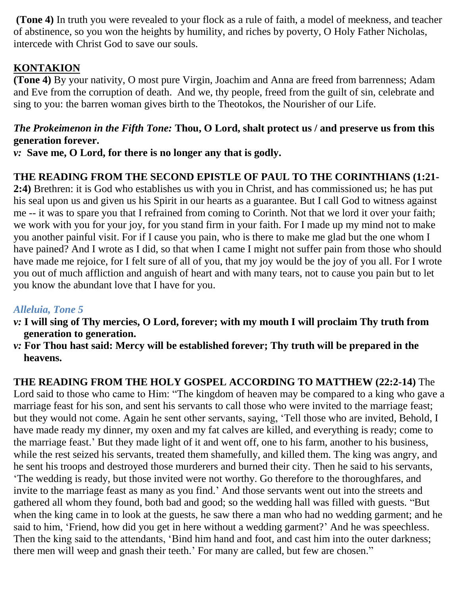**(Tone 4)** In truth you were revealed to your flock as a rule of faith, a model of meekness, and teacher of abstinence, so you won the heights by humility, and riches by poverty, O Holy Father Nicholas, intercede with Christ God to save our souls.

## **KONTAKION**

**(Tone 4)** By your nativity, O most pure Virgin, Joachim and Anna are freed from barrenness; Adam and Eve from the corruption of death. And we, thy people, freed from the guilt of sin, celebrate and sing to you: the barren woman gives birth to the Theotokos, the Nourisher of our Life.

## *The Prokeimenon in the Fifth Tone:* **Thou, O Lord, shalt protect us / and preserve us from this generation forever.**

*v:* **Save me, O Lord, for there is no longer any that is godly.** 

# **THE READING FROM THE SECOND EPISTLE OF PAUL TO THE CORINTHIANS (1:21-**

**2:4)** Brethren: it is God who establishes us with you in Christ, and has commissioned us; he has put his seal upon us and given us his Spirit in our hearts as a guarantee. But I call God to witness against me -- it was to spare you that I refrained from coming to Corinth. Not that we lord it over your faith; we work with you for your joy, for you stand firm in your faith. For I made up my mind not to make you another painful visit. For if I cause you pain, who is there to make me glad but the one whom I have pained? And I wrote as I did, so that when I came I might not suffer pain from those who should have made me rejoice, for I felt sure of all of you, that my joy would be the joy of you all. For I wrote you out of much affliction and anguish of heart and with many tears, not to cause you pain but to let you know the abundant love that I have for you.

## *Alleluia, Tone 5*

- *v:* **I will sing of Thy mercies, O Lord, forever; with my mouth I will proclaim Thy truth from generation to generation.**
- *v:* **For Thou hast said: Mercy will be established forever; Thy truth will be prepared in the heavens.**

## **THE READING FROM THE HOLY GOSPEL ACCORDING TO MATTHEW (22:2-14)** The

Lord said to those who came to Him: "The kingdom of heaven may be compared to a king who gave a marriage feast for his son, and sent his servants to call those who were invited to the marriage feast; but they would not come. Again he sent other servants, saying, 'Tell those who are invited, Behold, I have made ready my dinner, my oxen and my fat calves are killed, and everything is ready; come to the marriage feast.' But they made light of it and went off, one to his farm, another to his business, while the rest seized his servants, treated them shamefully, and killed them. The king was angry, and he sent his troops and destroyed those murderers and burned their city. Then he said to his servants, 'The wedding is ready, but those invited were not worthy. Go therefore to the thoroughfares, and invite to the marriage feast as many as you find.' And those servants went out into the streets and gathered all whom they found, both bad and good; so the wedding hall was filled with guests. "But when the king came in to look at the guests, he saw there a man who had no wedding garment; and he said to him, 'Friend, how did you get in here without a wedding garment?' And he was speechless. Then the king said to the attendants, 'Bind him hand and foot, and cast him into the outer darkness; there men will weep and gnash their teeth.' For many are called, but few are chosen."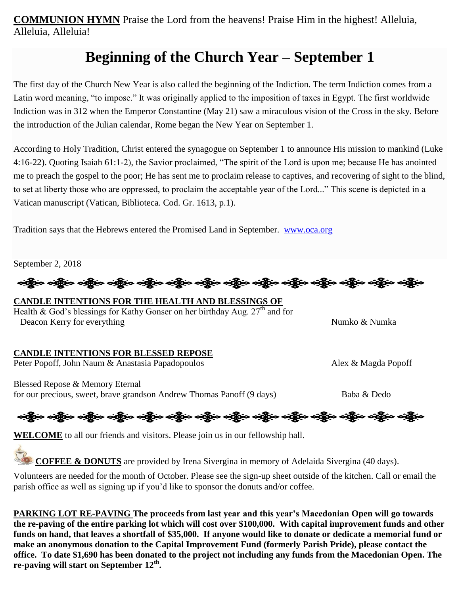**COMMUNION HYMN** Praise the Lord from the heavens! Praise Him in the highest! Alleluia, Alleluia, Alleluia!

# **Beginning of the Church Year – September 1**

The first day of the Church New Year is also called the beginning of the Indiction. The term Indiction comes from a Latin word meaning, "to impose." It was originally applied to the imposition of taxes in Egypt. The first worldwide Indiction was in 312 when the Emperor Constantine (May 21) saw a miraculous vision of the Cross in the sky. Before the introduction of the Julian calendar, Rome began the New Year on September 1.

According to Holy Tradition, Christ entered the synagogue on September 1 to announce His mission to mankind (Luke 4:16-22). Quoting Isaiah 61:1-2), the Savior proclaimed, "The spirit of the Lord is upon me; because He has anointed me to preach the gospel to the poor; He has sent me to proclaim release to captives, and recovering of sight to the blind, to set at liberty those who are oppressed, to proclaim the acceptable year of the Lord..." This scene is depicted in a Vatican manuscript (Vatican, Biblioteca. Cod. Gr. 1613, p.1).

Tradition says that the Hebrews entered the Promised Land in September. [www.oca.org](http://www.oca.org/)

September 2, 2018

းမြို့က သန္တို့လ သန္တြဲလ သန္တြဲလ သန္တြဲလ သန္တြဲလ သန္တြဲလ သန္တြဲလ သန္တြဲလ သန္တြဲလ သန္တြဲလ သန္တြဲလ သန္တြဲလ

### **CANDLE INTENTIONS FOR THE HEALTH AND BLESSINGS OF**

Health &  $\overline{God}$ 's blessings for Kathy Gonser on her birthday Aug.  $27<sup>th</sup>$  and for Deacon Kerry for everything Numko & Numka

#### **CANDLE INTENTIONS FOR BLESSED REPOSE**

Peter Popoff, John Naum & Anastasia Papadopoulos Alex & Magda Popoff

Blessed Repose & Memory Eternal for our precious, sweet, brave grandson Andrew Thomas Panoff (9 days) Baba & Dedo

# ခရွို့လ ခရွို့လ ခရွိမ် တို့မှာ ပြောင်း ခရွိပါ သို့မှာ ခရွိပါ သို့မှာ ခရွိပါ သို့မှာ သည်။ သို့မှာ ခရွိပါ သည်။

**WELCOME** to all our friends and visitors. Please join us in our fellowship hall.

**COFFEE & DONUTS** are provided by Irena Sivergina in memory of Adelaida Sivergina (40 days).

Volunteers are needed for the month of October. Please see the sign-up sheet outside of the kitchen. Call or email the parish office as well as signing up if you'd like to sponsor the donuts and/or coffee.

**PARKING LOT RE-PAVING The proceeds from last year and this year's Macedonian Open will go towards the re-paving of the entire parking lot which will cost over \$100,000. With capital improvement funds and other funds on hand, that leaves a shortfall of \$35,000. If anyone would like to donate or dedicate a memorial fund or make an anonymous donation to the Capital Improvement Fund (formerly Parish Pride), please contact the office. To date \$1,690 has been donated to the project not including any funds from the Macedonian Open. The re-paving will start on September 12th .**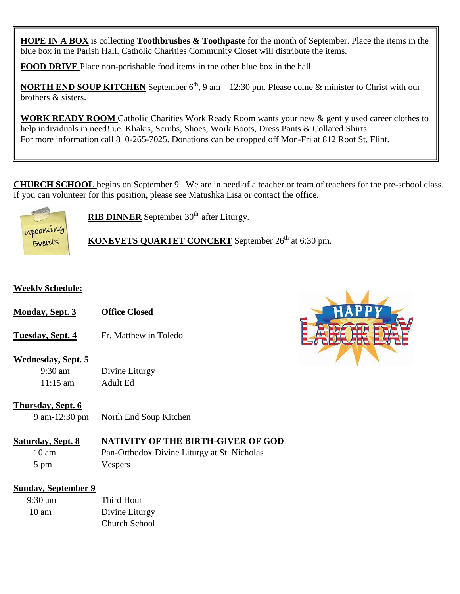**HOPE IN A BOX** is collecting **Toothbrushes & Toothpaste** for the month of September. Place the items in the blue box in the Parish Hall. Catholic Charities Community Closet will distribute the items.

**FOOD DRIVE** Place non-perishable food items in the other blue box in the hall.

**NORTH END SOUP KITCHEN** September 6<sup>th</sup>, 9 am – 12:30 pm. Please come & minister to Christ with our brothers & sisters.

**WORK READY ROOM** Catholic Charities Work Ready Room wants your new & gently used career clothes to help individuals in need! i.e. Khakis, Scrubs, Shoes, Work Boots, Dress Pants & Collared Shirts. For more information call 810-265-7025. Donations can be dropped off Mon-Fri at 812 Root St, Flint.

**CHURCH SCHOOL** begins on September 9. We are in need of a teacher or team of teachers for the pre-school class. If you can volunteer for this position, please see Matushka Lisa or contact the office.



**RIB DINNER** September 30<sup>th</sup> after Liturgy.

**KONEVETS QUARTET CONCERT** September 26<sup>th</sup> at 6:30 pm.

#### **Weekly Schedule:**

- **Monday, Sept. 3 Office Closed**
- **Tuesday, Sept. 4** Fr. Matthew in Toledo

#### **Wednesday, Sept. 5**

9:30 am Divine Liturgy 11:15 am Adult Ed

#### **Thursday, Sept. 6**

9 am-12:30 pm North End Soup Kitchen

#### **Saturday, Sept. 8 NATIVITY OF THE BIRTH-GIVER OF GOD**

10 am Pan-Orthodox Divine Liturgy at St. Nicholas 5 pm Vespers

#### **Sunday, September 9**

| $9:30 \text{ am}$ | Third Hour           |
|-------------------|----------------------|
| $10 \text{ am}$   | Divine Liturgy       |
|                   | <b>Church School</b> |